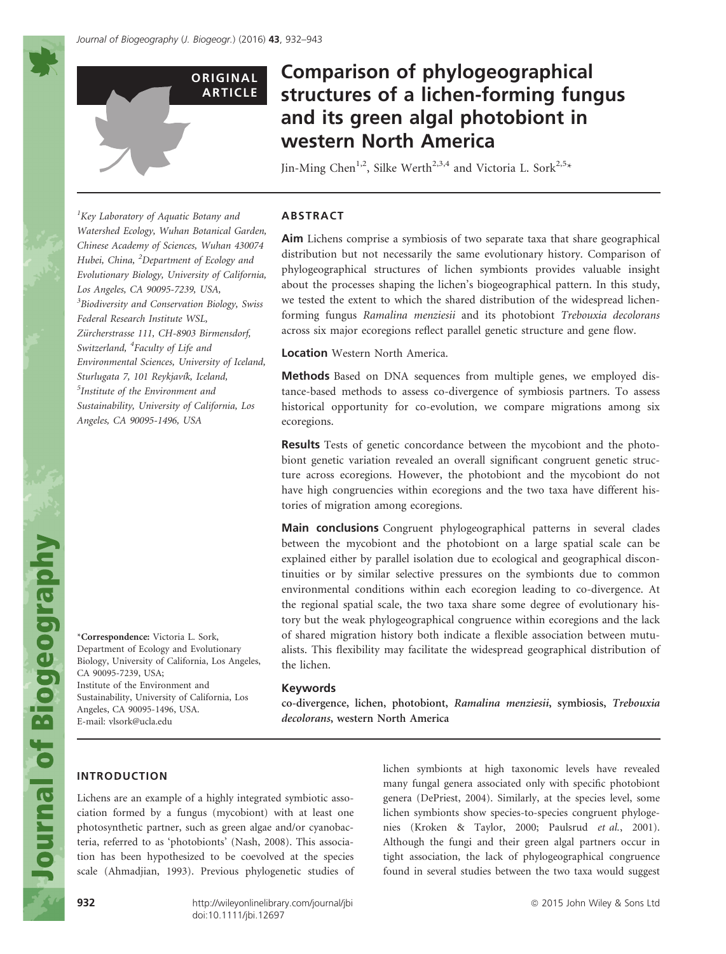

# Comparison of phylogeographical structures of a lichen-forming fungus and its green algal photobiont in western North America

Jin-Ming Chen<sup>1,2</sup>, Silke Werth<sup>2,3,4</sup> and Victoria L. Sork<sup>2,5\*</sup>

# ABSTRACT

Aim Lichens comprise a symbiosis of two separate taxa that share geographical distribution but not necessarily the same evolutionary history. Comparison of phylogeographical structures of lichen symbionts provides valuable insight about the processes shaping the lichen's biogeographical pattern. In this study, we tested the extent to which the shared distribution of the widespread lichenforming fungus Ramalina menziesii and its photobiont Trebouxia decolorans across six major ecoregions reflect parallel genetic structure and gene flow.

Location Western North America.

Methods Based on DNA sequences from multiple genes, we employed distance-based methods to assess co-divergence of symbiosis partners. To assess historical opportunity for co-evolution, we compare migrations among six ecoregions.

Results Tests of genetic concordance between the mycobiont and the photobiont genetic variation revealed an overall significant congruent genetic structure across ecoregions. However, the photobiont and the mycobiont do not have high congruencies within ecoregions and the two taxa have different histories of migration among ecoregions.

Main conclusions Congruent phylogeographical patterns in several clades between the mycobiont and the photobiont on a large spatial scale can be explained either by parallel isolation due to ecological and geographical discontinuities or by similar selective pressures on the symbionts due to common environmental conditions within each ecoregion leading to co-divergence. At the regional spatial scale, the two taxa share some degree of evolutionary history but the weak phylogeographical congruence within ecoregions and the lack of shared migration history both indicate a flexible association between mutualists. This flexibility may facilitate the widespread geographical distribution of the lichen.

#### Keywords

co-divergence, lichen, photobiont, Ramalina menziesii, symbiosis, Trebouxia decolorans, western North America

# INTRODUCTION

Lichens are an example of a highly integrated symbiotic association formed by a fungus (mycobiont) with at least one photosynthetic partner, such as green algae and/or cyanobacteria, referred to as 'photobionts' (Nash, 2008). This association has been hypothesized to be coevolved at the species scale (Ahmadjian, 1993). Previous phylogenetic studies of lichen symbionts at high taxonomic levels have revealed many fungal genera associated only with specific photobiont genera (DePriest, 2004). Similarly, at the species level, some lichen symbionts show species-to-species congruent phylogenies (Kroken & Taylor, 2000; Paulsrud et al., 2001). Although the fungi and their green algal partners occur in tight association, the lack of phylogeographical congruence found in several studies between the two taxa would suggest

<sup>1</sup>Key Laboratory of Aquatic Botany and Watershed Ecology, Wuhan Botanical Garden, Chinese Academy of Sciences, Wuhan 430074 Hubei, China, <sup>2</sup>Department of Ecology and Evolutionary Biology, University of California, Los Angeles, CA 90095-7239, USA, <sup>3</sup> Biodiversity and Conservation Biology, Swiss Federal Research Institute WSL, Zürcherstrasse 111, CH-8903 Birmensdorf, Switzerland, <sup>4</sup>Faculty of Life and Environmental Sciences, University of Iceland, Sturlugata 7, 101 Reykjavík, Iceland, 5 Institute of the Environment and Sustainability, University of California, Los Angeles, CA 90095-1496, USA

\*Correspondence: Victoria L. Sork, Department of Ecology and Evolutionary Biology, University of California, Los Angeles, CA 90095-7239, USA; Institute of the Environment and Sustainability, University of California, Los Angeles, CA 90095-1496, USA. E-mail: vlsork@ucla.edu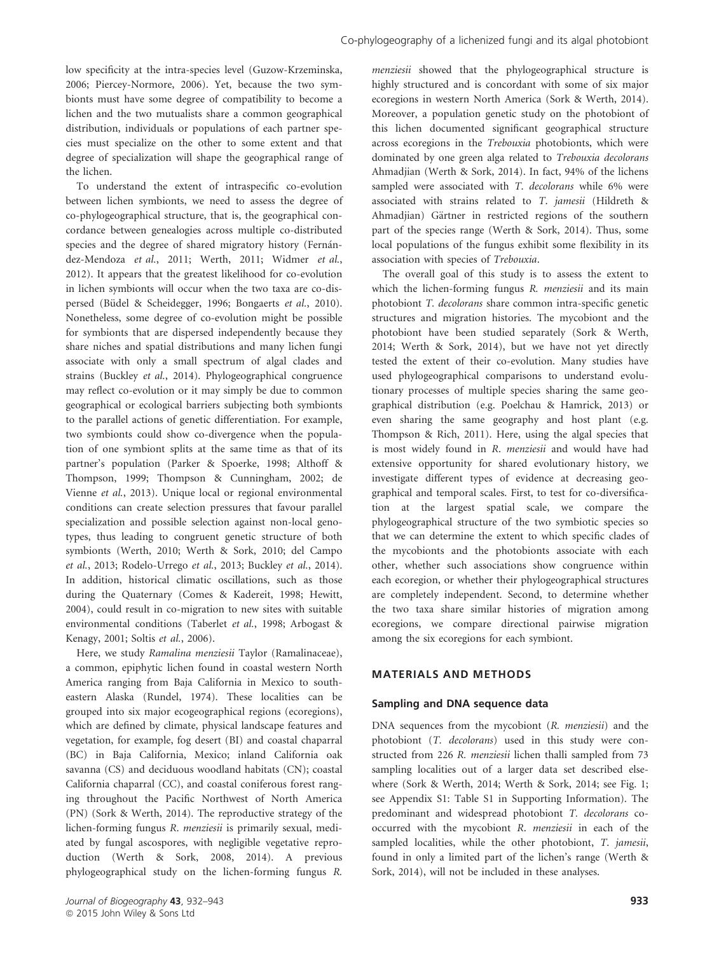low specificity at the intra-species level (Guzow-Krzeminska, 2006; Piercey-Normore, 2006). Yet, because the two symbionts must have some degree of compatibility to become a lichen and the two mutualists share a common geographical distribution, individuals or populations of each partner species must specialize on the other to some extent and that degree of specialization will shape the geographical range of the lichen.

To understand the extent of intraspecific co-evolution between lichen symbionts, we need to assess the degree of co-phylogeographical structure, that is, the geographical concordance between genealogies across multiple co-distributed species and the degree of shared migratory history (Fernández-Mendoza et al., 2011; Werth, 2011; Widmer et al., 2012). It appears that the greatest likelihood for co-evolution in lichen symbionts will occur when the two taxa are co-dispersed (Büdel & Scheidegger, 1996; Bongaerts et al., 2010). Nonetheless, some degree of co-evolution might be possible for symbionts that are dispersed independently because they share niches and spatial distributions and many lichen fungi associate with only a small spectrum of algal clades and strains (Buckley et al., 2014). Phylogeographical congruence may reflect co-evolution or it may simply be due to common geographical or ecological barriers subjecting both symbionts to the parallel actions of genetic differentiation. For example, two symbionts could show co-divergence when the population of one symbiont splits at the same time as that of its partner's population (Parker & Spoerke, 1998; Althoff & Thompson, 1999; Thompson & Cunningham, 2002; de Vienne et al., 2013). Unique local or regional environmental conditions can create selection pressures that favour parallel specialization and possible selection against non-local genotypes, thus leading to congruent genetic structure of both symbionts (Werth, 2010; Werth & Sork, 2010; del Campo et al., 2013; Rodelo-Urrego et al., 2013; Buckley et al., 2014). In addition, historical climatic oscillations, such as those during the Quaternary (Comes & Kadereit, 1998; Hewitt, 2004), could result in co-migration to new sites with suitable environmental conditions (Taberlet et al., 1998; Arbogast & Kenagy, 2001; Soltis et al., 2006).

Here, we study Ramalina menziesii Taylor (Ramalinaceae), a common, epiphytic lichen found in coastal western North America ranging from Baja California in Mexico to southeastern Alaska (Rundel, 1974). These localities can be grouped into six major ecogeographical regions (ecoregions), which are defined by climate, physical landscape features and vegetation, for example, fog desert (BI) and coastal chaparral (BC) in Baja California, Mexico; inland California oak savanna (CS) and deciduous woodland habitats (CN); coastal California chaparral (CC), and coastal coniferous forest ranging throughout the Pacific Northwest of North America (PN) (Sork & Werth, 2014). The reproductive strategy of the lichen-forming fungus R. menziesii is primarily sexual, mediated by fungal ascospores, with negligible vegetative reproduction (Werth & Sork, 2008, 2014). A previous phylogeographical study on the lichen-forming fungus R.

menziesii showed that the phylogeographical structure is highly structured and is concordant with some of six major ecoregions in western North America (Sork & Werth, 2014). Moreover, a population genetic study on the photobiont of this lichen documented significant geographical structure across ecoregions in the Trebouxia photobionts, which were dominated by one green alga related to Trebouxia decolorans Ahmadjian (Werth & Sork, 2014). In fact, 94% of the lichens sampled were associated with T. decolorans while 6% were associated with strains related to T. jamesii (Hildreth & Ahmadjian) Gärtner in restricted regions of the southern part of the species range (Werth & Sork, 2014). Thus, some local populations of the fungus exhibit some flexibility in its association with species of Trebouxia.

The overall goal of this study is to assess the extent to which the lichen-forming fungus R. menziesii and its main photobiont T. decolorans share common intra-specific genetic structures and migration histories. The mycobiont and the photobiont have been studied separately (Sork & Werth, 2014; Werth & Sork, 2014), but we have not yet directly tested the extent of their co-evolution. Many studies have used phylogeographical comparisons to understand evolutionary processes of multiple species sharing the same geographical distribution (e.g. Poelchau & Hamrick, 2013) or even sharing the same geography and host plant (e.g. Thompson & Rich, 2011). Here, using the algal species that is most widely found in R. menziesii and would have had extensive opportunity for shared evolutionary history, we investigate different types of evidence at decreasing geographical and temporal scales. First, to test for co-diversification at the largest spatial scale, we compare the phylogeographical structure of the two symbiotic species so that we can determine the extent to which specific clades of the mycobionts and the photobionts associate with each other, whether such associations show congruence within each ecoregion, or whether their phylogeographical structures are completely independent. Second, to determine whether the two taxa share similar histories of migration among ecoregions, we compare directional pairwise migration among the six ecoregions for each symbiont.

#### MATERIALS AND METHODS

#### Sampling and DNA sequence data

DNA sequences from the mycobiont (R. menziesii) and the photobiont (T. decolorans) used in this study were constructed from 226 R. menziesii lichen thalli sampled from 73 sampling localities out of a larger data set described elsewhere (Sork & Werth, 2014; Werth & Sork, 2014; see Fig. 1; see Appendix S1: Table S1 in Supporting Information). The predominant and widespread photobiont T. decolorans cooccurred with the mycobiont R. menziesii in each of the sampled localities, while the other photobiont, T. jamesii, found in only a limited part of the lichen's range (Werth & Sork, 2014), will not be included in these analyses.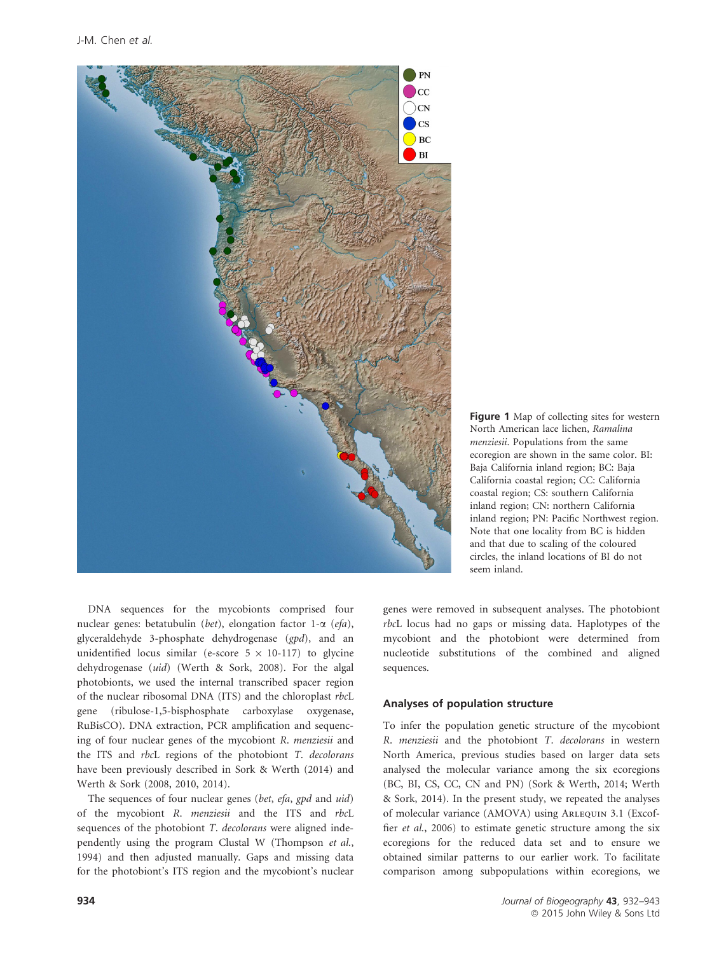

Figure 1 Map of collecting sites for western North American lace lichen, Ramalina menziesii. Populations from the same ecoregion are shown in the same color. BI: Baja California inland region; BC: Baja California coastal region; CC: California coastal region; CS: southern California inland region; CN: northern California inland region; PN: Pacific Northwest region. Note that one locality from BC is hidden and that due to scaling of the coloured circles, the inland locations of BI do not seem inland.

DNA sequences for the mycobionts comprised four nuclear genes: betatubulin (bet), elongation factor 1- $\alpha$  (efa), glyceraldehyde 3-phosphate dehydrogenase (gpd), and an unidentified locus similar (e-score  $5 \times 10$ -117) to glycine dehydrogenase (uid) (Werth & Sork, 2008). For the algal photobionts, we used the internal transcribed spacer region of the nuclear ribosomal DNA (ITS) and the chloroplast rbcL gene (ribulose-1,5-bisphosphate carboxylase oxygenase, RuBisCO). DNA extraction, PCR amplification and sequencing of four nuclear genes of the mycobiont R. menziesii and the ITS and rbcL regions of the photobiont T. decolorans have been previously described in Sork & Werth (2014) and Werth & Sork (2008, 2010, 2014).

The sequences of four nuclear genes (bet, efa, gpd and uid) of the mycobiont R. menziesii and the ITS and rbcL sequences of the photobiont T. decolorans were aligned independently using the program Clustal W (Thompson et al., 1994) and then adjusted manually. Gaps and missing data for the photobiont's ITS region and the mycobiont's nuclear genes were removed in subsequent analyses. The photobiont rbcL locus had no gaps or missing data. Haplotypes of the mycobiont and the photobiont were determined from nucleotide substitutions of the combined and aligned sequences.

#### Analyses of population structure

To infer the population genetic structure of the mycobiont R. menziesii and the photobiont T. decolorans in western North America, previous studies based on larger data sets analysed the molecular variance among the six ecoregions (BC, BI, CS, CC, CN and PN) (Sork & Werth, 2014; Werth & Sork, 2014). In the present study, we repeated the analyses of molecular variance (AMOVA) using Arlequin 3.1 (Excoffier et al., 2006) to estimate genetic structure among the six ecoregions for the reduced data set and to ensure we obtained similar patterns to our earlier work. To facilitate comparison among subpopulations within ecoregions, we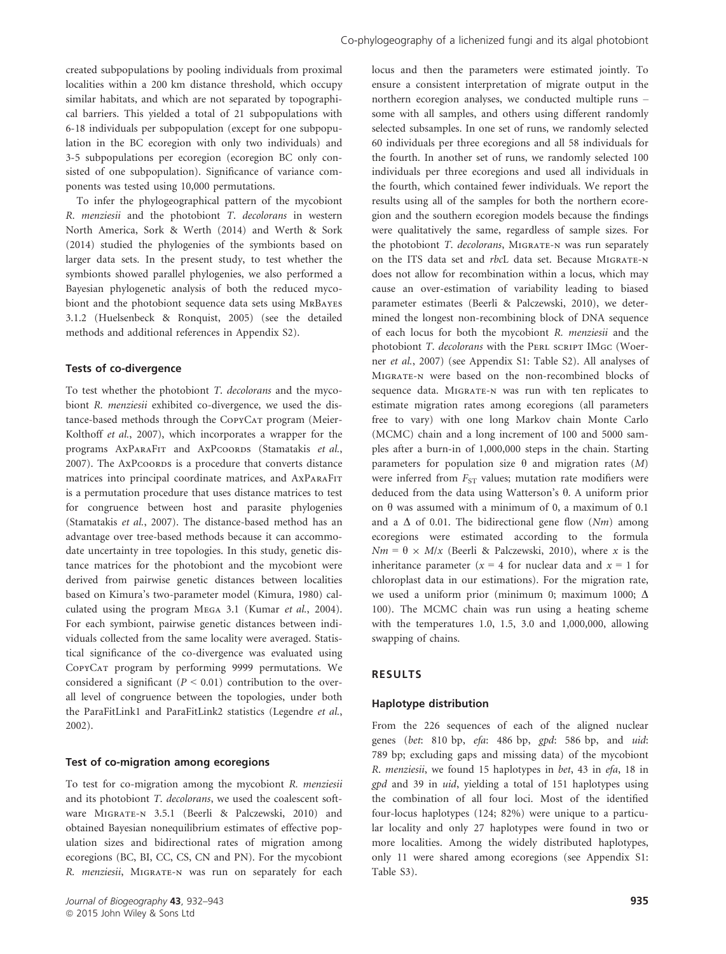created subpopulations by pooling individuals from proximal localities within a 200 km distance threshold, which occupy similar habitats, and which are not separated by topographical barriers. This yielded a total of 21 subpopulations with 6-18 individuals per subpopulation (except for one subpopulation in the BC ecoregion with only two individuals) and 3-5 subpopulations per ecoregion (ecoregion BC only consisted of one subpopulation). Significance of variance components was tested using 10,000 permutations.

To infer the phylogeographical pattern of the mycobiont R. menziesii and the photobiont T. decolorans in western North America, Sork & Werth (2014) and Werth & Sork (2014) studied the phylogenies of the symbionts based on larger data sets. In the present study, to test whether the symbionts showed parallel phylogenies, we also performed a Bayesian phylogenetic analysis of both the reduced mycobiont and the photobiont sequence data sets using MrBayes 3.1.2 (Huelsenbeck & Ronquist, 2005) (see the detailed methods and additional references in Appendix S2).

#### Tests of co-divergence

To test whether the photobiont T. decolorans and the mycobiont R. menziesii exhibited co-divergence, we used the distance-based methods through the CopyCAT program (Meier-Kolthoff et al., 2007), which incorporates a wrapper for the programs AxPARAFIT and AxPCOORDS (Stamatakis et al., 2007). The AxPcoords is a procedure that converts distance matrices into principal coordinate matrices, and AxParaFit is a permutation procedure that uses distance matrices to test for congruence between host and parasite phylogenies (Stamatakis et al., 2007). The distance-based method has an advantage over tree-based methods because it can accommodate uncertainty in tree topologies. In this study, genetic distance matrices for the photobiont and the mycobiont were derived from pairwise genetic distances between localities based on Kimura's two-parameter model (Kimura, 1980) calculated using the program Mega 3.1 (Kumar et al., 2004). For each symbiont, pairwise genetic distances between individuals collected from the same locality were averaged. Statistical significance of the co-divergence was evaluated using CopyCat program by performing 9999 permutations. We considered a significant ( $P < 0.01$ ) contribution to the overall level of congruence between the topologies, under both the ParaFitLink1 and ParaFitLink2 statistics (Legendre et al., 2002).

#### Test of co-migration among ecoregions

To test for co-migration among the mycobiont R. menziesii and its photobiont T. decolorans, we used the coalescent software Migrate-n 3.5.1 (Beerli & Palczewski, 2010) and obtained Bayesian nonequilibrium estimates of effective population sizes and bidirectional rates of migration among ecoregions (BC, BI, CC, CS, CN and PN). For the mycobiont R. menziesii, Migrate-n was run on separately for each

locus and then the parameters were estimated jointly. To ensure a consistent interpretation of migrate output in the northern ecoregion analyses, we conducted multiple runs – some with all samples, and others using different randomly selected subsamples. In one set of runs, we randomly selected 60 individuals per three ecoregions and all 58 individuals for the fourth. In another set of runs, we randomly selected 100 individuals per three ecoregions and used all individuals in the fourth, which contained fewer individuals. We report the results using all of the samples for both the northern ecoregion and the southern ecoregion models because the findings were qualitatively the same, regardless of sample sizes. For the photobiont T. decolorans, MIGRATE-N was run separately on the ITS data set and rbcL data set. Because Migrate-n does not allow for recombination within a locus, which may cause an over-estimation of variability leading to biased parameter estimates (Beerli & Palczewski, 2010), we determined the longest non-recombining block of DNA sequence of each locus for both the mycobiont R. menziesii and the photobiont T. decolorans with the PERL SCRIPT IMGC (Woerner et al., 2007) (see Appendix S1: Table S2). All analyses of Migrate-n were based on the non-recombined blocks of sequence data. MIGRATE-N was run with ten replicates to estimate migration rates among ecoregions (all parameters free to vary) with one long Markov chain Monte Carlo (MCMC) chain and a long increment of 100 and 5000 samples after a burn-in of 1,000,000 steps in the chain. Starting parameters for population size  $\theta$  and migration rates  $(M)$ were inferred from  $F_{ST}$  values; mutation rate modifiers were deduced from the data using Watterson's  $\theta$ . A uniform prior on  $\theta$  was assumed with a minimum of 0, a maximum of 0.1 and a  $\Delta$  of 0.01. The bidirectional gene flow (Nm) among ecoregions were estimated according to the formula  $Nm = \theta \times M/x$  (Beerli & Palczewski, 2010), where x is the inheritance parameter ( $x = 4$  for nuclear data and  $x = 1$  for chloroplast data in our estimations). For the migration rate, we used a uniform prior (minimum 0; maximum 1000;  $\Delta$ 100). The MCMC chain was run using a heating scheme with the temperatures 1.0, 1.5, 3.0 and 1,000,000, allowing swapping of chains.

#### RESULTS

#### Haplotype distribution

From the 226 sequences of each of the aligned nuclear genes (bet: 810 bp, efa: 486 bp, gpd: 586 bp, and uid: 789 bp; excluding gaps and missing data) of the mycobiont R. menziesii, we found 15 haplotypes in bet, 43 in efa, 18 in gpd and 39 in uid, yielding a total of 151 haplotypes using the combination of all four loci. Most of the identified four-locus haplotypes (124; 82%) were unique to a particular locality and only 27 haplotypes were found in two or more localities. Among the widely distributed haplotypes, only 11 were shared among ecoregions (see Appendix S1: Table S3).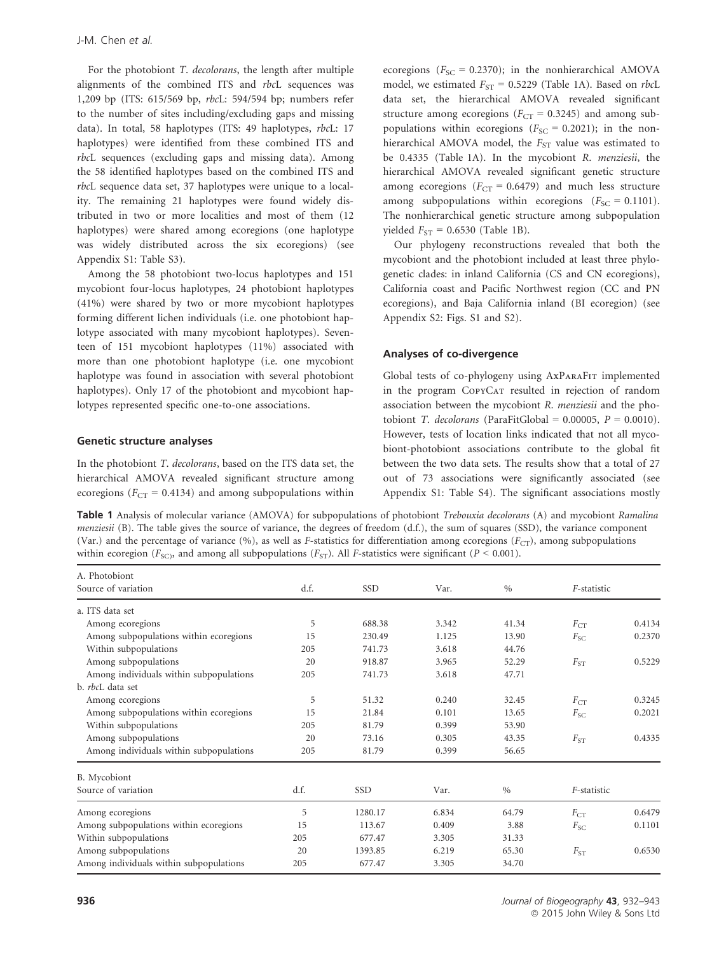For the photobiont T. decolorans, the length after multiple alignments of the combined ITS and rbcL sequences was 1,209 bp (ITS: 615/569 bp, rbcL: 594/594 bp; numbers refer to the number of sites including/excluding gaps and missing data). In total, 58 haplotypes (ITS: 49 haplotypes, rbcL: 17 haplotypes) were identified from these combined ITS and rbcL sequences (excluding gaps and missing data). Among the 58 identified haplotypes based on the combined ITS and rbcL sequence data set, 37 haplotypes were unique to a locality. The remaining 21 haplotypes were found widely distributed in two or more localities and most of them (12 haplotypes) were shared among ecoregions (one haplotype was widely distributed across the six ecoregions) (see Appendix S1: Table S3).

Among the 58 photobiont two-locus haplotypes and 151 mycobiont four-locus haplotypes, 24 photobiont haplotypes (41%) were shared by two or more mycobiont haplotypes forming different lichen individuals (i.e. one photobiont haplotype associated with many mycobiont haplotypes). Seventeen of 151 mycobiont haplotypes (11%) associated with more than one photobiont haplotype (i.e. one mycobiont haplotype was found in association with several photobiont haplotypes). Only 17 of the photobiont and mycobiont haplotypes represented specific one-to-one associations.

#### Genetic structure analyses

In the photobiont T. decolorans, based on the ITS data set, the hierarchical AMOVA revealed significant structure among ecoregions ( $F_{CT} = 0.4134$ ) and among subpopulations within

ecoregions ( $F_{SC}$  = 0.2370); in the nonhierarchical AMOVA model, we estimated  $F_{ST} = 0.5229$  (Table 1A). Based on *rbcL* data set, the hierarchical AMOVA revealed significant structure among ecoregions ( $F_{CT} = 0.3245$ ) and among subpopulations within ecoregions ( $F_{SC} = 0.2021$ ); in the nonhierarchical AMOVA model, the  $F_{ST}$  value was estimated to be 0.4335 (Table 1A). In the mycobiont R. menziesii, the hierarchical AMOVA revealed significant genetic structure among ecoregions ( $F_{CT} = 0.6479$ ) and much less structure among subpopulations within ecoregions  $(F_{SC} = 0.1101)$ . The nonhierarchical genetic structure among subpopulation yielded  $F_{ST}$  = 0.6530 (Table 1B).

Our phylogeny reconstructions revealed that both the mycobiont and the photobiont included at least three phylogenetic clades: in inland California (CS and CN ecoregions), California coast and Pacific Northwest region (CC and PN ecoregions), and Baja California inland (BI ecoregion) (see Appendix S2: Figs. S1 and S2).

#### Analyses of co-divergence

Global tests of co-phylogeny using AxParaFit implemented in the program CopyCAT resulted in rejection of random association between the mycobiont R. menziesii and the photobiont T. decolorans (ParaFitGlobal =  $0.00005$ ,  $P = 0.0010$ ). However, tests of location links indicated that not all mycobiont-photobiont associations contribute to the global fit between the two data sets. The results show that a total of 27 out of 73 associations were significantly associated (see Appendix S1: Table S4). The significant associations mostly

Table 1 Analysis of molecular variance (AMOVA) for subpopulations of photobiont Trebouxia decolorans (A) and mycobiont Ramalina menziesii (B). The table gives the source of variance, the degrees of freedom (d.f.), the sum of squares (SSD), the variance component (Var.) and the percentage of variance (%), as well as F-statistics for differentiation among ecoregions ( $F_{CT}$ ), among subpopulations within ecoregion ( $F_{SC}$ ), and among all subpopulations ( $F_{ST}$ ). All *F*-statistics were significant ( $P < 0.001$ ).

| Source of variation<br>d.f.<br>SSD<br>Var.<br>$\%$<br>F-statistic                    |        |  |
|--------------------------------------------------------------------------------------|--------|--|
| a. ITS data set                                                                      |        |  |
| 5<br>688.38<br>3.342<br>41.34<br>$F_{\rm CT}$<br>Among ecoregions                    | 0.4134 |  |
| Among subpopulations within ecoregions<br>15<br>230.49<br>1.125<br>13.90<br>$F_{SC}$ | 0.2370 |  |
| Within subpopulations<br>3.618<br>44.76<br>205<br>741.73                             |        |  |
| Among subpopulations<br>20<br>918.87<br>3.965<br>52.29<br>$F_{ST}$                   | 0.5229 |  |
| Among individuals within subpopulations<br>205<br>3.618<br>741.73<br>47.71           |        |  |
| b. <i>rbcl.</i> data set                                                             |        |  |
| 5<br>51.32<br>0.240<br>Among ecoregions<br>32.45<br>$F_{\rm CT}$                     | 0.3245 |  |
| Among subpopulations within ecoregions<br>15<br>21.84<br>0.101<br>13.65<br>$F_{SC}$  | 0.2021 |  |
| Within subpopulations<br>205<br>81.79<br>0.399<br>53.90                              |        |  |
| Among subpopulations<br>20<br>73.16<br>43.35<br>0.305<br>$F_{ST}$                    | 0.4335 |  |
| Among individuals within subpopulations<br>205<br>81.79<br>0.399<br>56.65            |        |  |
| B. Mycobiont                                                                         |        |  |
| Source of variation<br>d.f.<br><b>SSD</b><br>$\%$<br>F-statistic<br>Var.             |        |  |
| 5<br>Among ecoregions<br>1280.17<br>6.834<br>64.79<br>$F_{CT}$                       | 0.6479 |  |
| Among subpopulations within ecoregions<br>15<br>113.67<br>0.409<br>3.88<br>$F_{SC}$  | 0.1101 |  |
| Within subpopulations<br>205<br>677.47<br>3.305<br>31.33                             |        |  |
| Among subpopulations<br>20<br>1393.85<br>6.219<br>65.30<br>$F_{ST}$                  | 0.6530 |  |
| Among individuals within subpopulations<br>205<br>677.47<br>3.305<br>34.70           |        |  |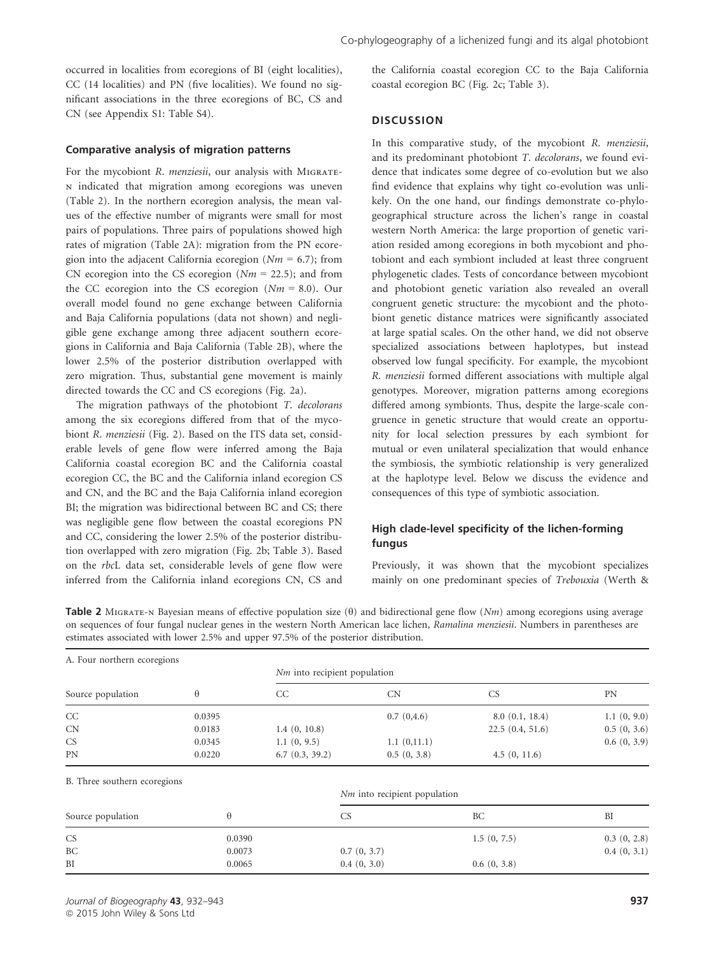occurred in localities from ecoregions of BI (eight localities), CC (14 localities) and PN (five localities). We found no significant associations in the three ecoregions of BC, CS and CN (see Appendix S1: Table S4).

#### Comparative analysis of migration patterns

For the mycobiont R. menziesii, our analysis with MIGRATEn indicated that migration among ecoregions was uneven (Table 2). In the northern ecoregion analysis, the mean values of the effective number of migrants were small for most pairs of populations. Three pairs of populations showed high rates of migration (Table 2A): migration from the PN ecoregion into the adjacent California ecoregion ( $Nm = 6.7$ ); from CN ecoregion into the CS ecoregion ( $Nm = 22.5$ ); and from the CC ecoregion into the CS ecoregion  $(Nm = 8.0)$ . Our overall model found no gene exchange between California and Baja California populations (data not shown) and negligible gene exchange among three adjacent southern ecoregions in California and Baja California (Table 2B), where the lower 2.5% of the posterior distribution overlapped with zero migration. Thus, substantial gene movement is mainly directed towards the CC and CS ecoregions (Fig. 2a).

The migration pathways of the photobiont T. decolorans among the six ecoregions differed from that of the mycobiont R. menziesii (Fig. 2). Based on the ITS data set, considerable levels of gene flow were inferred among the Baja California coastal ecoregion BC and the California coastal ecoregion CC, the BC and the California inland ecoregion CS and CN, and the BC and the Baja California inland ecoregion BI; the migration was bidirectional between BC and CS; there was negligible gene flow between the coastal ecoregions PN and CC, considering the lower 2.5% of the posterior distribution overlapped with zero migration (Fig. 2b; Table 3). Based on the rbcL data set, considerable levels of gene flow were inferred from the California inland ecoregions CN, CS and

the California coastal ecoregion CC to the Baja California coastal ecoregion BC (Fig. 2c; Table 3).

#### **DISCUSSION**

In this comparative study, of the mycobiont R. menziesii, and its predominant photobiont T. decolorans, we found evidence that indicates some degree of co-evolution but we also find evidence that explains why tight co-evolution was unlikely. On the one hand, our findings demonstrate co-phylogeographical structure across the lichen's range in coastal western North America: the large proportion of genetic variation resided among ecoregions in both mycobiont and photobiont and each symbiont included at least three congruent phylogenetic clades. Tests of concordance between mycobiont and photobiont genetic variation also revealed an overall congruent genetic structure: the mycobiont and the photobiont genetic distance matrices were significantly associated at large spatial scales. On the other hand, we did not observe specialized associations between haplotypes, but instead observed low fungal specificity. For example, the mycobiont R. menziesii formed different associations with multiple algal genotypes. Moreover, migration patterns among ecoregions differed among symbionts. Thus, despite the large-scale congruence in genetic structure that would create an opportunity for local selection pressures by each symbiont for mutual or even unilateral specialization that would enhance the symbiosis, the symbiotic relationship is very generalized at the haplotype level. Below we discuss the evidence and consequences of this type of symbiotic association.

## High clade-level specificity of the lichen-forming fungus

Previously, it was shown that the mycobiont specializes mainly on one predominant species of Trebouxia (Werth &

**Table 2** MIGRATE-N Bayesian means of effective population size ( $\theta$ ) and bidirectional gene flow (Nm) among ecoregions using average on sequences of four fungal nuclear genes in the western North American lace lichen, Ramalina menziesii. Numbers in parentheses are estimates associated with lower 2.5% and upper 97.5% of the posterior distribution.

| A. Four northern ecoregions  |          |                                |                                |                 |             |  |  |  |  |  |
|------------------------------|----------|--------------------------------|--------------------------------|-----------------|-------------|--|--|--|--|--|
|                              |          | $Nm$ into recipient population |                                |                 |             |  |  |  |  |  |
| Source population            | $\theta$ | CC                             | CN                             | <b>CS</b>       | <b>PN</b>   |  |  |  |  |  |
| CC                           | 0.0395   |                                | 0.7(0,4.6)                     | 8.0(0.1, 18.4)  | 1.1(0, 9.0) |  |  |  |  |  |
| CN                           | 0.0183   | 1.4(0, 10.8)                   |                                | 22.5(0.4, 51.6) | 0.5(0, 3.6) |  |  |  |  |  |
| CS                           | 0.0345   | 1.1(0, 9.5)                    | 1.1(0,11.1)                    |                 | 0.6(0, 3.9) |  |  |  |  |  |
| PN                           | 0.0220   | 6.7(0.3, 39.2)                 | 0.5(0, 3.8)                    | 4.5(0, 11.6)    |             |  |  |  |  |  |
| B. Three southern ecoregions |          |                                |                                |                 |             |  |  |  |  |  |
|                              |          |                                | $Nm$ into recipient population |                 |             |  |  |  |  |  |
| Source population            | $\theta$ |                                | <b>CS</b>                      | BC              | BI          |  |  |  |  |  |
| CS                           | 0.0390   |                                |                                | 1.5(0, 7.5)     | 0.3(0, 2.8) |  |  |  |  |  |
| BC                           | 0.0073   |                                | 0.7(0, 3.7)                    |                 | 0.4(0, 3.1) |  |  |  |  |  |
| BI                           | 0.0065   |                                | 0.4(0, 3.0)                    | 0.6(0, 3.8)     |             |  |  |  |  |  |
|                              |          |                                |                                |                 |             |  |  |  |  |  |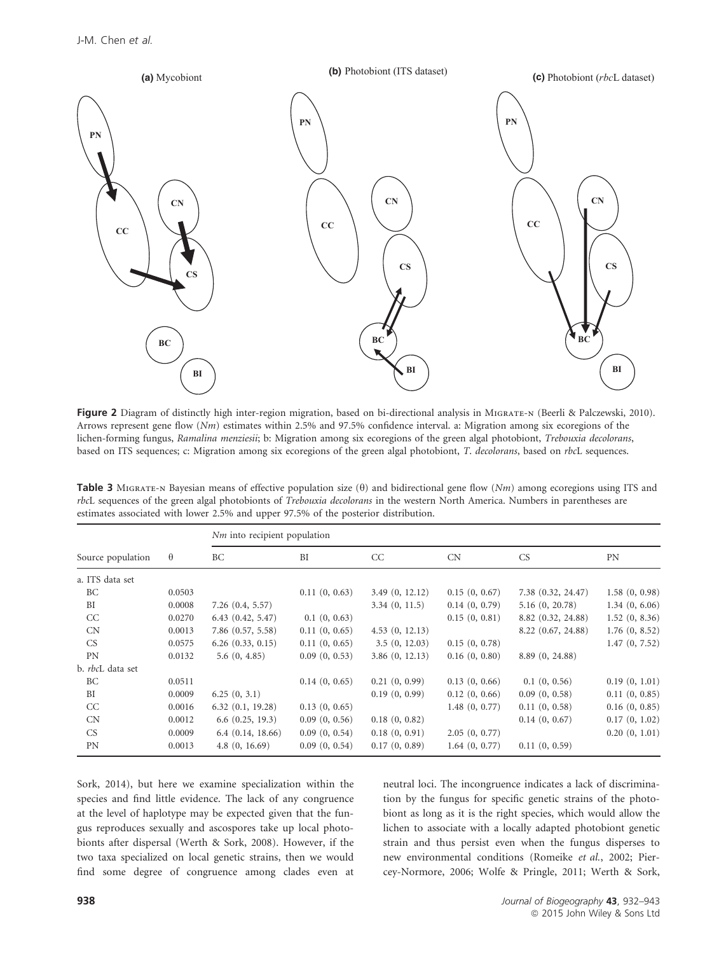

Figure 2 Diagram of distinctly high inter-region migration, based on bi-directional analysis in MIGRATE-N (Beerli & Palczewski, 2010). Arrows represent gene flow (Nm) estimates within 2.5% and 97.5% confidence interval. a: Migration among six ecoregions of the lichen-forming fungus, Ramalina menziesii; b: Migration among six ecoregions of the green algal photobiont, Trebouxia decolorans, based on ITS sequences; c: Migration among six ecoregions of the green algal photobiont, T. decolorans, based on rbcL sequences.

| Table 3 MIGRATE-N Bayesian means of effective population size $(\theta)$ and bidirectional gene flow (Nm) among ecoregions using ITS and |
|------------------------------------------------------------------------------------------------------------------------------------------|
| rbcL sequences of the green algal photobionts of <i>Trebouxia decolorans</i> in the western North America. Numbers in parentheses are    |
| estimates associated with lower 2.5% and upper 97.5% of the posterior distribution.                                                      |

| Source population       | $\theta$ | $Nm$ into recipient population |               |                |               |                    |               |  |
|-------------------------|----------|--------------------------------|---------------|----------------|---------------|--------------------|---------------|--|
|                         |          | <b>BC</b>                      | BI            | CC             | CN            | CS.                | <b>PN</b>     |  |
| a. ITS data set         |          |                                |               |                |               |                    |               |  |
| BC                      | 0.0503   |                                | 0.11(0, 0.63) | 3.49(0, 12.12) | 0.15(0, 0.67) | 7.38 (0.32, 24.47) | 1.58(0, 0.98) |  |
| BI                      | 0.0008   | 7.26(0.4, 5.57)                |               | 3.34(0, 11.5)  | 0.14(0, 0.79) | 5.16(0, 20.78)     | 1.34(0, 6.06) |  |
| CC                      | 0.0270   | 6.43(0.42, 5.47)               | 0.1(0, 0.63)  |                | 0.15(0, 0.81) | 8.82 (0.32, 24.88) | 1.52(0, 8.36) |  |
| CN                      | 0.0013   | 7.86 (0.57, 5.58)              | 0.11(0, 0.65) | 4.53(0, 12.13) |               | 8.22 (0.67, 24.88) | 1.76(0, 8.52) |  |
| CS <sub></sub>          | 0.0575   | 6.26(0.33, 0.15)               | 0.11(0, 0.65) | 3.5(0, 12.03)  | 0.15(0, 0.78) |                    | 1.47(0, 7.52) |  |
| <b>PN</b>               | 0.0132   | 5.6(0, 4.85)                   | 0.09(0, 0.53) | 3.86(0, 12.13) | 0.16(0, 0.80) | 8.89 (0, 24.88)    |               |  |
| b. <i>rbcL</i> data set |          |                                |               |                |               |                    |               |  |
| BC                      | 0.0511   |                                | 0.14(0, 0.65) | 0.21(0, 0.99)  | 0.13(0, 0.66) | 0.1(0, 0.56)       | 0.19(0, 1.01) |  |
| BI                      | 0.0009   | 6.25(0, 3.1)                   |               | 0.19(0, 0.99)  | 0.12(0, 0.66) | 0.09(0, 0.58)      | 0.11(0, 0.85) |  |
| CC                      | 0.0016   | 6.32(0.1, 19.28)               | 0.13(0, 0.65) |                | 1.48(0, 0.77) | 0.11(0, 0.58)      | 0.16(0, 0.85) |  |
| CN                      | 0.0012   | 6.6(0.25, 19.3)                | 0.09(0, 0.56) | 0.18(0, 0.82)  |               | 0.14(0, 0.67)      | 0.17(0, 1.02) |  |
| CS <sub></sub>          | 0.0009   | 6.4(0.14, 18.66)               | 0.09(0, 0.54) | 0.18(0, 0.91)  | 2.05(0, 0.77) |                    | 0.20(0, 1.01) |  |
| <b>PN</b>               | 0.0013   | 4.8(0, 16.69)                  | 0.09(0, 0.54) | 0.17(0, 0.89)  | 1.64(0, 0.77) | 0.11(0, 0.59)      |               |  |

Sork, 2014), but here we examine specialization within the species and find little evidence. The lack of any congruence at the level of haplotype may be expected given that the fungus reproduces sexually and ascospores take up local photobionts after dispersal (Werth & Sork, 2008). However, if the two taxa specialized on local genetic strains, then we would find some degree of congruence among clades even at neutral loci. The incongruence indicates a lack of discrimination by the fungus for specific genetic strains of the photobiont as long as it is the right species, which would allow the lichen to associate with a locally adapted photobiont genetic strain and thus persist even when the fungus disperses to new environmental conditions (Romeike et al., 2002; Piercey-Normore, 2006; Wolfe & Pringle, 2011; Werth & Sork,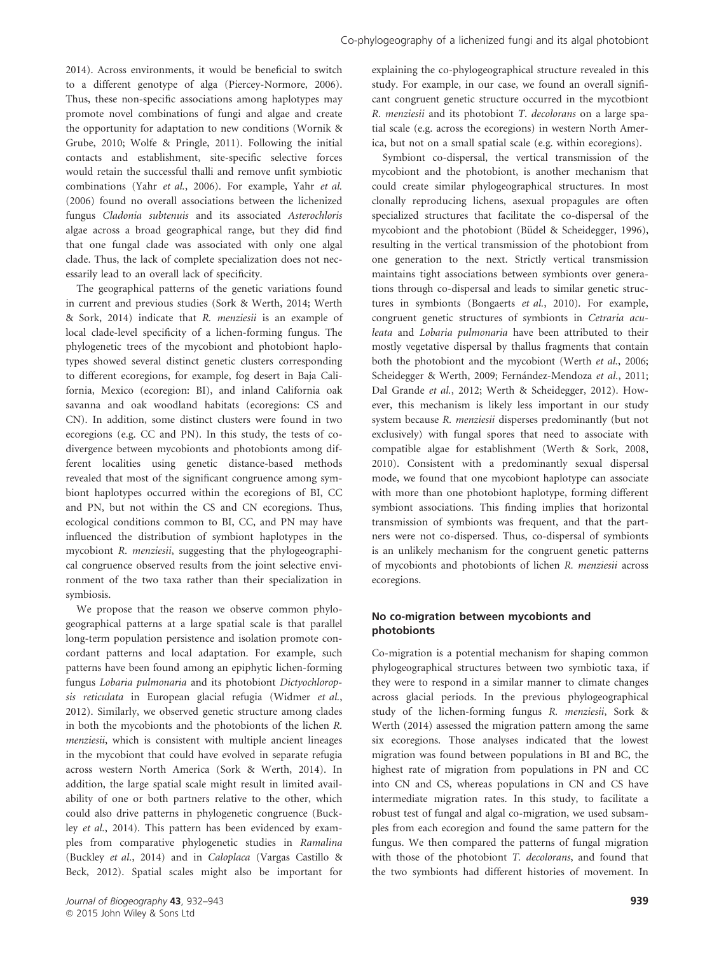2014). Across environments, it would be beneficial to switch to a different genotype of alga (Piercey-Normore, 2006). Thus, these non-specific associations among haplotypes may promote novel combinations of fungi and algae and create the opportunity for adaptation to new conditions (Wornik & Grube, 2010; Wolfe & Pringle, 2011). Following the initial contacts and establishment, site-specific selective forces would retain the successful thalli and remove unfit symbiotic combinations (Yahr et al., 2006). For example, Yahr et al. (2006) found no overall associations between the lichenized fungus Cladonia subtenuis and its associated Asterochloris algae across a broad geographical range, but they did find that one fungal clade was associated with only one algal clade. Thus, the lack of complete specialization does not necessarily lead to an overall lack of specificity.

The geographical patterns of the genetic variations found in current and previous studies (Sork & Werth, 2014; Werth & Sork, 2014) indicate that R. menziesii is an example of local clade-level specificity of a lichen-forming fungus. The phylogenetic trees of the mycobiont and photobiont haplotypes showed several distinct genetic clusters corresponding to different ecoregions, for example, fog desert in Baja California, Mexico (ecoregion: BI), and inland California oak savanna and oak woodland habitats (ecoregions: CS and CN). In addition, some distinct clusters were found in two ecoregions (e.g. CC and PN). In this study, the tests of codivergence between mycobionts and photobionts among different localities using genetic distance-based methods revealed that most of the significant congruence among symbiont haplotypes occurred within the ecoregions of BI, CC and PN, but not within the CS and CN ecoregions. Thus, ecological conditions common to BI, CC, and PN may have influenced the distribution of symbiont haplotypes in the mycobiont R. menziesii, suggesting that the phylogeographical congruence observed results from the joint selective environment of the two taxa rather than their specialization in symbiosis.

We propose that the reason we observe common phylogeographical patterns at a large spatial scale is that parallel long-term population persistence and isolation promote concordant patterns and local adaptation. For example, such patterns have been found among an epiphytic lichen-forming fungus Lobaria pulmonaria and its photobiont Dictyochloropsis reticulata in European glacial refugia (Widmer et al., 2012). Similarly, we observed genetic structure among clades in both the mycobionts and the photobionts of the lichen R. menziesii, which is consistent with multiple ancient lineages in the mycobiont that could have evolved in separate refugia across western North America (Sork & Werth, 2014). In addition, the large spatial scale might result in limited availability of one or both partners relative to the other, which could also drive patterns in phylogenetic congruence (Buckley et al., 2014). This pattern has been evidenced by examples from comparative phylogenetic studies in Ramalina (Buckley et al., 2014) and in Caloplaca (Vargas Castillo & Beck, 2012). Spatial scales might also be important for explaining the co-phylogeographical structure revealed in this study. For example, in our case, we found an overall significant congruent genetic structure occurred in the mycotbiont R. menziesii and its photobiont T. decolorans on a large spatial scale (e.g. across the ecoregions) in western North America, but not on a small spatial scale (e.g. within ecoregions).

Symbiont co-dispersal, the vertical transmission of the mycobiont and the photobiont, is another mechanism that could create similar phylogeographical structures. In most clonally reproducing lichens, asexual propagules are often specialized structures that facilitate the co-dispersal of the mycobiont and the photobiont (Büdel & Scheidegger, 1996), resulting in the vertical transmission of the photobiont from one generation to the next. Strictly vertical transmission maintains tight associations between symbionts over generations through co-dispersal and leads to similar genetic structures in symbionts (Bongaerts et al., 2010). For example, congruent genetic structures of symbionts in Cetraria aculeata and Lobaria pulmonaria have been attributed to their mostly vegetative dispersal by thallus fragments that contain both the photobiont and the mycobiont (Werth et al., 2006; Scheidegger & Werth, 2009; Fernández-Mendoza et al., 2011; Dal Grande et al., 2012; Werth & Scheidegger, 2012). However, this mechanism is likely less important in our study system because R. menziesii disperses predominantly (but not exclusively) with fungal spores that need to associate with compatible algae for establishment (Werth & Sork, 2008, 2010). Consistent with a predominantly sexual dispersal mode, we found that one mycobiont haplotype can associate with more than one photobiont haplotype, forming different symbiont associations. This finding implies that horizontal transmission of symbionts was frequent, and that the partners were not co-dispersed. Thus, co-dispersal of symbionts is an unlikely mechanism for the congruent genetic patterns of mycobionts and photobionts of lichen R. menziesii across ecoregions.

## No co-migration between mycobionts and photobionts

Co-migration is a potential mechanism for shaping common phylogeographical structures between two symbiotic taxa, if they were to respond in a similar manner to climate changes across glacial periods. In the previous phylogeographical study of the lichen-forming fungus R. menziesii, Sork & Werth (2014) assessed the migration pattern among the same six ecoregions. Those analyses indicated that the lowest migration was found between populations in BI and BC, the highest rate of migration from populations in PN and CC into CN and CS, whereas populations in CN and CS have intermediate migration rates. In this study, to facilitate a robust test of fungal and algal co-migration, we used subsamples from each ecoregion and found the same pattern for the fungus. We then compared the patterns of fungal migration with those of the photobiont T. decolorans, and found that the two symbionts had different histories of movement. In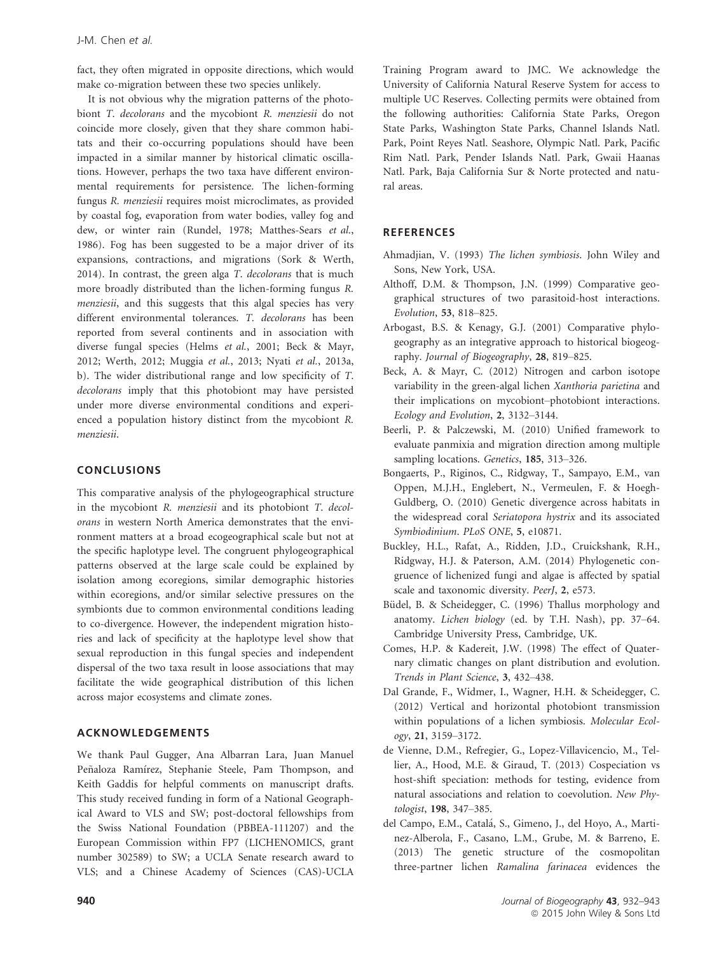fact, they often migrated in opposite directions, which would make co-migration between these two species unlikely.

It is not obvious why the migration patterns of the photobiont T. decolorans and the mycobiont R. menziesii do not coincide more closely, given that they share common habitats and their co-occurring populations should have been impacted in a similar manner by historical climatic oscillations. However, perhaps the two taxa have different environmental requirements for persistence. The lichen-forming fungus R. menziesii requires moist microclimates, as provided by coastal fog, evaporation from water bodies, valley fog and dew, or winter rain (Rundel, 1978; Matthes-Sears et al., 1986). Fog has been suggested to be a major driver of its expansions, contractions, and migrations (Sork & Werth, 2014). In contrast, the green alga T. decolorans that is much more broadly distributed than the lichen-forming fungus R. menziesii, and this suggests that this algal species has very different environmental tolerances. T. decolorans has been reported from several continents and in association with diverse fungal species (Helms et al., 2001; Beck & Mayr, 2012; Werth, 2012; Muggia et al., 2013; Nyati et al., 2013a, b). The wider distributional range and low specificity of T. decolorans imply that this photobiont may have persisted under more diverse environmental conditions and experienced a population history distinct from the mycobiont R. menziesii.

## CONCLUSIONS

This comparative analysis of the phylogeographical structure in the mycobiont R. menziesii and its photobiont T. decolorans in western North America demonstrates that the environment matters at a broad ecogeographical scale but not at the specific haplotype level. The congruent phylogeographical patterns observed at the large scale could be explained by isolation among ecoregions, similar demographic histories within ecoregions, and/or similar selective pressures on the symbionts due to common environmental conditions leading to co-divergence. However, the independent migration histories and lack of specificity at the haplotype level show that sexual reproduction in this fungal species and independent dispersal of the two taxa result in loose associations that may facilitate the wide geographical distribution of this lichen across major ecosystems and climate zones.

#### ACKNOWLEDGEMENTS

We thank Paul Gugger, Ana Albarran Lara, Juan Manuel Peñaloza Ramírez, Stephanie Steele, Pam Thompson, and Keith Gaddis for helpful comments on manuscript drafts. This study received funding in form of a National Geographical Award to VLS and SW; post-doctoral fellowships from the Swiss National Foundation (PBBEA-111207) and the European Commission within FP7 (LICHENOMICS, grant number 302589) to SW; a UCLA Senate research award to VLS; and a Chinese Academy of Sciences (CAS)-UCLA Training Program award to JMC. We acknowledge the University of California Natural Reserve System for access to multiple UC Reserves. Collecting permits were obtained from the following authorities: California State Parks, Oregon State Parks, Washington State Parks, Channel Islands Natl. Park, Point Reyes Natl. Seashore, Olympic Natl. Park, Pacific Rim Natl. Park, Pender Islands Natl. Park, Gwaii Haanas Natl. Park, Baja California Sur & Norte protected and natural areas.

#### **REFERENCES**

- Ahmadjian, V. (1993) The lichen symbiosis. John Wiley and Sons, New York, USA.
- Althoff, D.M. & Thompson, J.N. (1999) Comparative geographical structures of two parasitoid-host interactions. Evolution, 53, 818–825.
- Arbogast, B.S. & Kenagy, G.J. (2001) Comparative phylogeography as an integrative approach to historical biogeography. Journal of Biogeography, 28, 819–825.
- Beck, A. & Mayr, C. (2012) Nitrogen and carbon isotope variability in the green-algal lichen Xanthoria parietina and their implications on mycobiont–photobiont interactions. Ecology and Evolution, 2, 3132–3144.
- Beerli, P. & Palczewski, M. (2010) Unified framework to evaluate panmixia and migration direction among multiple sampling locations. Genetics, 185, 313-326.
- Bongaerts, P., Riginos, C., Ridgway, T., Sampayo, E.M., van Oppen, M.J.H., Englebert, N., Vermeulen, F. & Hoegh-Guldberg, O. (2010) Genetic divergence across habitats in the widespread coral Seriatopora hystrix and its associated Symbiodinium. PLoS ONE, 5, e10871.
- Buckley, H.L., Rafat, A., Ridden, J.D., Cruickshank, R.H., Ridgway, H.J. & Paterson, A.M. (2014) Phylogenetic congruence of lichenized fungi and algae is affected by spatial scale and taxonomic diversity. PeerJ, 2, e573.
- Büdel, B. & Scheidegger, C. (1996) Thallus morphology and anatomy. Lichen biology (ed. by T.H. Nash), pp. 37–64. Cambridge University Press, Cambridge, UK.
- Comes, H.P. & Kadereit, J.W. (1998) The effect of Quaternary climatic changes on plant distribution and evolution. Trends in Plant Science, 3, 432–438.
- Dal Grande, F., Widmer, I., Wagner, H.H. & Scheidegger, C. (2012) Vertical and horizontal photobiont transmission within populations of a lichen symbiosis. Molecular Ecology, 21, 3159–3172.
- de Vienne, D.M., Refregier, G., Lopez-Villavicencio, M., Tellier, A., Hood, M.E. & Giraud, T. (2013) Cospeciation vs host-shift speciation: methods for testing, evidence from natural associations and relation to coevolution. New Phytologist, 198, 347–385.
- del Campo, E.M., Catala, S., Gimeno, J., del Hoyo, A., Martinez-Alberola, F., Casano, L.M., Grube, M. & Barreno, E. (2013) The genetic structure of the cosmopolitan three-partner lichen Ramalina farinacea evidences the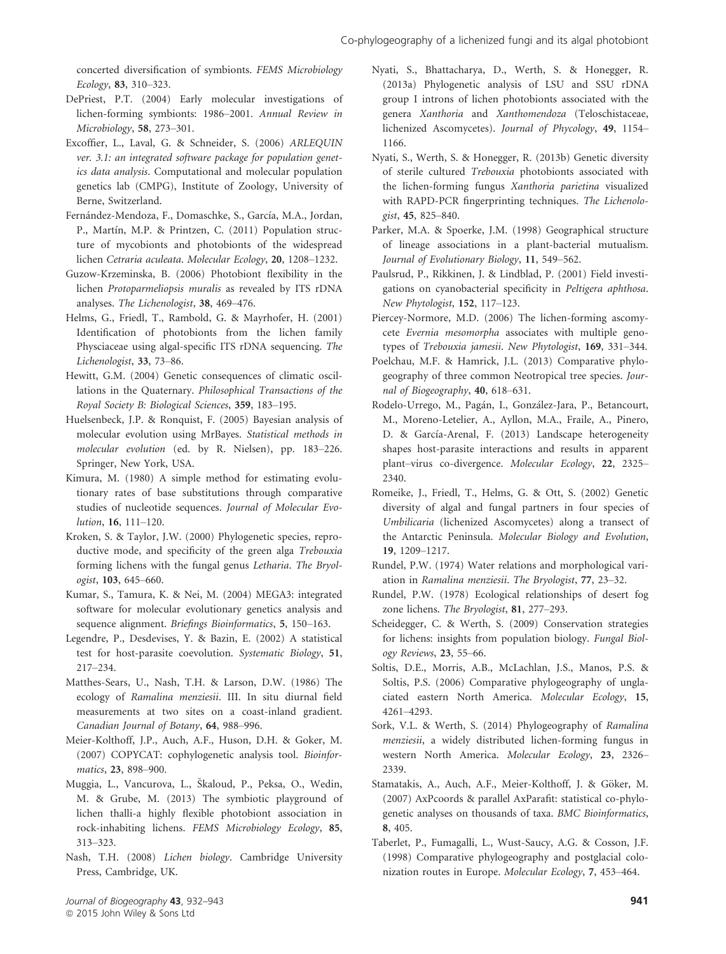concerted diversification of symbionts. FEMS Microbiology Ecology, 83, 310–323.

- DePriest, P.T. (2004) Early molecular investigations of lichen-forming symbionts: 1986–2001. Annual Review in Microbiology, 58, 273–301.
- Excoffier, L., Laval, G. & Schneider, S. (2006) ARLEQUIN ver. 3.1: an integrated software package for population genetics data analysis. Computational and molecular population genetics lab (CMPG), Institute of Zoology, University of Berne, Switzerland.
- Fernández-Mendoza, F., Domaschke, S., García, M.A., Jordan, P., Martín, M.P. & Printzen, C. (2011) Population structure of mycobionts and photobionts of the widespread lichen Cetraria aculeata. Molecular Ecology, 20, 1208–1232.
- Guzow-Krzeminska, B. (2006) Photobiont flexibility in the lichen Protoparmeliopsis muralis as revealed by ITS rDNA analyses. The Lichenologist, 38, 469–476.
- Helms, G., Friedl, T., Rambold, G. & Mayrhofer, H. (2001) Identification of photobionts from the lichen family Physciaceae using algal-specific ITS rDNA sequencing. The Lichenologist, 33, 73–86.
- Hewitt, G.M. (2004) Genetic consequences of climatic oscillations in the Quaternary. Philosophical Transactions of the Royal Society B: Biological Sciences, 359, 183–195.
- Huelsenbeck, J.P. & Ronquist, F. (2005) Bayesian analysis of molecular evolution using MrBayes. Statistical methods in molecular evolution (ed. by R. Nielsen), pp. 183–226. Springer, New York, USA.
- Kimura, M. (1980) A simple method for estimating evolutionary rates of base substitutions through comparative studies of nucleotide sequences. Journal of Molecular Evolution, 16, 111–120.
- Kroken, S. & Taylor, J.W. (2000) Phylogenetic species, reproductive mode, and specificity of the green alga Trebouxia forming lichens with the fungal genus Letharia. The Bryologist, 103, 645–660.
- Kumar, S., Tamura, K. & Nei, M. (2004) MEGA3: integrated software for molecular evolutionary genetics analysis and sequence alignment. Briefings Bioinformatics, 5, 150–163.
- Legendre, P., Desdevises, Y. & Bazin, E. (2002) A statistical test for host-parasite coevolution. Systematic Biology, 51, 217–234.
- Matthes-Sears, U., Nash, T.H. & Larson, D.W. (1986) The ecology of Ramalina menziesii. III. In situ diurnal field measurements at two sites on a coast-inland gradient. Canadian Journal of Botany, 64, 988–996.
- Meier-Kolthoff, J.P., Auch, A.F., Huson, D.H. & Goker, M. (2007) COPYCAT: cophylogenetic analysis tool. Bioinformatics, 23, 898–900.
- Muggia, L., Vancurova, L., Skaloud, P., Peksa, O., Wedin, M. & Grube, M. (2013) The symbiotic playground of lichen thalli-a highly flexible photobiont association in rock-inhabiting lichens. FEMS Microbiology Ecology, 85, 313–323.
- Nash, T.H. (2008) Lichen biology. Cambridge University Press, Cambridge, UK.
- Nyati, S., Bhattacharya, D., Werth, S. & Honegger, R. (2013a) Phylogenetic analysis of LSU and SSU rDNA group I introns of lichen photobionts associated with the genera Xanthoria and Xanthomendoza (Teloschistaceae, lichenized Ascomycetes). Journal of Phycology, 49, 1154– 1166.
- Nyati, S., Werth, S. & Honegger, R. (2013b) Genetic diversity of sterile cultured Trebouxia photobionts associated with the lichen-forming fungus Xanthoria parietina visualized with RAPD-PCR fingerprinting techniques. The Lichenologist, 45, 825–840.
- Parker, M.A. & Spoerke, J.M. (1998) Geographical structure of lineage associations in a plant-bacterial mutualism. Journal of Evolutionary Biology, 11, 549–562.
- Paulsrud, P., Rikkinen, J. & Lindblad, P. (2001) Field investigations on cyanobacterial specificity in Peltigera aphthosa. New Phytologist, 152, 117–123.
- Piercey-Normore, M.D. (2006) The lichen-forming ascomycete Evernia mesomorpha associates with multiple genotypes of Trebouxia jamesii. New Phytologist, 169, 331–344.
- Poelchau, M.F. & Hamrick, J.L. (2013) Comparative phylogeography of three common Neotropical tree species. Journal of Biogeography, 40, 618–631.
- Rodelo-Urrego, M., Pagan, I., Gonzalez-Jara, P., Betancourt, M., Moreno-Letelier, A., Ayllon, M.A., Fraile, A., Pinero, D. & García-Arenal, F. (2013) Landscape heterogeneity shapes host-parasite interactions and results in apparent plant–virus co-divergence. Molecular Ecology, 22, 2325– 2340.
- Romeike, J., Friedl, T., Helms, G. & Ott, S. (2002) Genetic diversity of algal and fungal partners in four species of Umbilicaria (lichenized Ascomycetes) along a transect of the Antarctic Peninsula. Molecular Biology and Evolution, 19, 1209–1217.
- Rundel, P.W. (1974) Water relations and morphological variation in Ramalina menziesii. The Bryologist, 77, 23–32.
- Rundel, P.W. (1978) Ecological relationships of desert fog zone lichens. The Bryologist, 81, 277–293.
- Scheidegger, C. & Werth, S. (2009) Conservation strategies for lichens: insights from population biology. Fungal Biology Reviews, 23, 55–66.
- Soltis, D.E., Morris, A.B., McLachlan, J.S., Manos, P.S. & Soltis, P.S. (2006) Comparative phylogeography of unglaciated eastern North America. Molecular Ecology, 15, 4261–4293.
- Sork, V.L. & Werth, S. (2014) Phylogeography of Ramalina menziesii, a widely distributed lichen-forming fungus in western North America. Molecular Ecology, 23, 2326– 2339.
- Stamatakis, A., Auch, A.F., Meier-Kolthoff, J. & Göker, M. (2007) AxPcoords & parallel AxParafit: statistical co-phylogenetic analyses on thousands of taxa. BMC Bioinformatics, 8, 405.
- Taberlet, P., Fumagalli, L., Wust-Saucy, A.G. & Cosson, J.F. (1998) Comparative phylogeography and postglacial colonization routes in Europe. Molecular Ecology, 7, 453–464.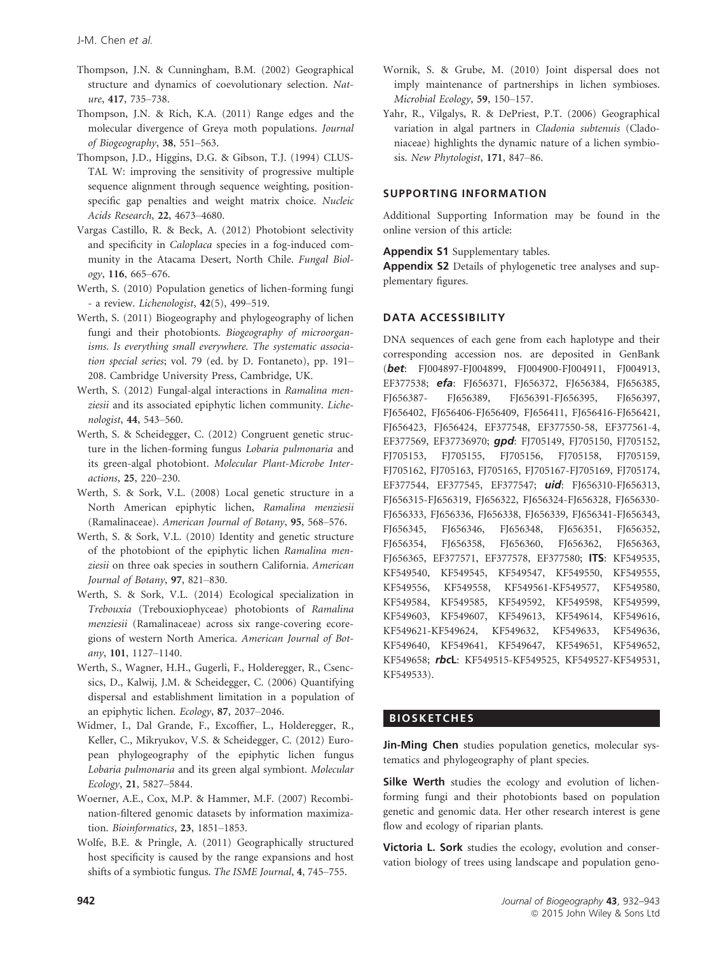- Thompson, J.N. & Cunningham, B.M. (2002) Geographical structure and dynamics of coevolutionary selection. Nature, 417, 735–738.
- Thompson, J.N. & Rich, K.A. (2011) Range edges and the molecular divergence of Greya moth populations. Journal of Biogeography, 38, 551–563.
- Thompson, J.D., Higgins, D.G. & Gibson, T.J. (1994) CLUS-TAL W: improving the sensitivity of progressive multiple sequence alignment through sequence weighting, positionspecific gap penalties and weight matrix choice. Nucleic Acids Research, 22, 4673–4680.
- Vargas Castillo, R. & Beck, A. (2012) Photobiont selectivity and specificity in Caloplaca species in a fog-induced community in the Atacama Desert, North Chile. Fungal Biology, 116, 665–676.
- Werth, S. (2010) Population genetics of lichen-forming fungi - a review. Lichenologist, 42(5), 499–519.
- Werth, S. (2011) Biogeography and phylogeography of lichen fungi and their photobionts. Biogeography of microorganisms. Is everything small everywhere. The systematic association special series; vol. 79 (ed. by D. Fontaneto), pp. 191– 208. Cambridge University Press, Cambridge, UK.
- Werth, S. (2012) Fungal-algal interactions in Ramalina menziesii and its associated epiphytic lichen community. Lichenologist, 44, 543–560.
- Werth, S. & Scheidegger, C. (2012) Congruent genetic structure in the lichen-forming fungus Lobaria pulmonaria and its green-algal photobiont. Molecular Plant-Microbe Interactions, 25, 220–230.
- Werth, S. & Sork, V.L. (2008) Local genetic structure in a North American epiphytic lichen, Ramalina menziesii (Ramalinaceae). American Journal of Botany, 95, 568–576.
- Werth, S. & Sork, V.L. (2010) Identity and genetic structure of the photobiont of the epiphytic lichen Ramalina menziesii on three oak species in southern California. American Journal of Botany, 97, 821–830.
- Werth, S. & Sork, V.L. (2014) Ecological specialization in Trebouxia (Trebouxiophyceae) photobionts of Ramalina menziesii (Ramalinaceae) across six range-covering ecoregions of western North America. American Journal of Botany, 101, 1127–1140.
- Werth, S., Wagner, H.H., Gugerli, F., Holderegger, R., Csencsics, D., Kalwij, J.M. & Scheidegger, C. (2006) Quantifying dispersal and establishment limitation in a population of an epiphytic lichen. Ecology, 87, 2037–2046.
- Widmer, I., Dal Grande, F., Excoffier, L., Holderegger, R., Keller, C., Mikryukov, V.S. & Scheidegger, C. (2012) European phylogeography of the epiphytic lichen fungus Lobaria pulmonaria and its green algal symbiont. Molecular Ecology, 21, 5827–5844.
- Woerner, A.E., Cox, M.P. & Hammer, M.F. (2007) Recombination-filtered genomic datasets by information maximization. Bioinformatics, 23, 1851–1853.
- Wolfe, B.E. & Pringle, A. (2011) Geographically structured host specificity is caused by the range expansions and host shifts of a symbiotic fungus. The ISME Journal, 4, 745–755.
- Wornik, S. & Grube, M. (2010) Joint dispersal does not imply maintenance of partnerships in lichen symbioses. Microbial Ecology, 59, 150–157.
- Yahr, R., Vilgalys, R. & DePriest, P.T. (2006) Geographical variation in algal partners in Cladonia subtenuis (Cladoniaceae) highlights the dynamic nature of a lichen symbiosis. New Phytologist, 171, 847–86.

# SUPPORTING INFORMATION

Additional Supporting Information may be found in the online version of this article:

Appendix S1 Supplementary tables.

Appendix S2 Details of phylogenetic tree analyses and supplementary figures.

## DATA ACCESSIBILITY

DNA sequences of each gene from each haplotype and their corresponding accession nos. are deposited in GenBank (bet: [FJ004897](http://www.ncbi.nlm.nih.gov/nuccore/FJ004897)-[FJ004899](http://www.ncbi.nlm.nih.gov/nuccore/FJ004899), [FJ004900-](http://www.ncbi.nlm.nih.gov/nuccore/FJ004900)[FJ004911](http://www.ncbi.nlm.nih.gov/nuccore/FJ004911), [FJ004913](http://www.ncbi.nlm.nih.gov/nuccore/FJ004913), [EF377538;](http://www.ncbi.nlm.nih.gov/nuccore/EF377538) efa: [FJ656371,](http://www.ncbi.nlm.nih.gov/nuccore/FJ656371) [FJ656372](http://www.ncbi.nlm.nih.gov/nuccore/FJ656372), [FJ656384](http://www.ncbi.nlm.nih.gov/nuccore/FJ656384), [FJ656385](http://www.ncbi.nlm.nih.gov/nuccore/FJ656385), [FJ656387-](http://www.ncbi.nlm.nih.gov/nuccore/FJ656387) [FJ656389](http://www.ncbi.nlm.nih.gov/nuccore/FJ656389), [FJ656391](http://www.ncbi.nlm.nih.gov/nuccore/FJ656391)-[FJ656395,](http://www.ncbi.nlm.nih.gov/nuccore/FJ656395) [FJ656397](http://www.ncbi.nlm.nih.gov/nuccore/FJ656397), [FJ656402,](http://www.ncbi.nlm.nih.gov/nuccore/FJ656402) [FJ656406](http://www.ncbi.nlm.nih.gov/nuccore/FJ656406)[-FJ656409,](http://www.ncbi.nlm.nih.gov/nuccore/FJ656409) [FJ656411](http://www.ncbi.nlm.nih.gov/nuccore/FJ656411), [FJ656416-](http://www.ncbi.nlm.nih.gov/nuccore/FJ656416)[FJ656421](http://www.ncbi.nlm.nih.gov/nuccore/FJ656421), [FJ656423,](http://www.ncbi.nlm.nih.gov/nuccore/FJ656423) [FJ656424](http://www.ncbi.nlm.nih.gov/nuccore/FJ656424), [EF377548,](http://www.ncbi.nlm.nih.gov/nuccore/EF377548) [EF377550](http://www.ncbi.nlm.nih.gov/nuccore/EF377550)-58, [EF377561-](http://www.ncbi.nlm.nih.gov/nuccore/EF377561)4, [EF377569,](http://www.ncbi.nlm.nih.gov/nuccore/EF377569) [EF37736970](http://www.ncbi.nlm.nih.gov/nuccore/EF37736970); qpd: [FJ705149,](http://www.ncbi.nlm.nih.gov/nuccore/FJ705149) [FJ705150](http://www.ncbi.nlm.nih.gov/nuccore/FJ705150), [FJ705152](http://www.ncbi.nlm.nih.gov/nuccore/FJ705152), [FJ705153,](http://www.ncbi.nlm.nih.gov/nuccore/FJ705153) [FJ705155,](http://www.ncbi.nlm.nih.gov/nuccore/FJ705155) [FJ705156](http://www.ncbi.nlm.nih.gov/nuccore/FJ705156), [FJ705158](http://www.ncbi.nlm.nih.gov/nuccore/FJ705158), [FJ705159](http://www.ncbi.nlm.nih.gov/nuccore/FJ705159), [FJ705162,](http://www.ncbi.nlm.nih.gov/nuccore/FJ705162) [FJ705163](http://www.ncbi.nlm.nih.gov/nuccore/FJ705163), [FJ705165](http://www.ncbi.nlm.nih.gov/nuccore/FJ705165), [FJ705167](http://www.ncbi.nlm.nih.gov/nuccore/FJ705167)[-FJ705169,](http://www.ncbi.nlm.nih.gov/nuccore/FJ705169) [FJ705174](http://www.ncbi.nlm.nih.gov/nuccore/FJ705174), [EF377544,](http://www.ncbi.nlm.nih.gov/nuccore/EF377544) [EF377545,](http://www.ncbi.nlm.nih.gov/nuccore/EF377545) [EF377547](http://www.ncbi.nlm.nih.gov/nuccore/EF377547); uid: [FJ656310-](http://www.ncbi.nlm.nih.gov/nuccore/FJ656310)[FJ656313](http://www.ncbi.nlm.nih.gov/nuccore/FJ656313), [FJ656315-](http://www.ncbi.nlm.nih.gov/nuccore/FJ656315)[FJ656319](http://www.ncbi.nlm.nih.gov/nuccore/FJ656319), [FJ656322](http://www.ncbi.nlm.nih.gov/nuccore/FJ656322), [FJ656324](http://www.ncbi.nlm.nih.gov/nuccore/FJ656324)-[FJ656328](http://www.ncbi.nlm.nih.gov/nuccore/FJ656328), [FJ656330](http://www.ncbi.nlm.nih.gov/nuccore/FJ656330)- [FJ656333,](http://www.ncbi.nlm.nih.gov/nuccore/FJ656333) [FJ656336](http://www.ncbi.nlm.nih.gov/nuccore/FJ656336), [FJ656338](http://www.ncbi.nlm.nih.gov/nuccore/FJ656338), [FJ656339,](http://www.ncbi.nlm.nih.gov/nuccore/FJ656339) [FJ656341-](http://www.ncbi.nlm.nih.gov/nuccore/FJ656341)[FJ656343](http://www.ncbi.nlm.nih.gov/nuccore/FJ656343), [FJ656345,](http://www.ncbi.nlm.nih.gov/nuccore/FJ656345) [FJ656346,](http://www.ncbi.nlm.nih.gov/nuccore/FJ656346) [FJ656348](http://www.ncbi.nlm.nih.gov/nuccore/FJ656348), [FJ656351](http://www.ncbi.nlm.nih.gov/nuccore/FJ656351), [FJ656352](http://www.ncbi.nlm.nih.gov/nuccore/FJ656352), [FJ656354,](http://www.ncbi.nlm.nih.gov/nuccore/FJ656354) [FJ656358,](http://www.ncbi.nlm.nih.gov/nuccore/FJ656358) [FJ656360](http://www.ncbi.nlm.nih.gov/nuccore/FJ656360), [FJ656362](http://www.ncbi.nlm.nih.gov/nuccore/FJ656362), [FJ656363](http://www.ncbi.nlm.nih.gov/nuccore/FJ656363), [FJ656365,](http://www.ncbi.nlm.nih.gov/nuccore/FJ656365) [EF377571](http://www.ncbi.nlm.nih.gov/nuccore/EF377571), [EF377578](http://www.ncbi.nlm.nih.gov/nuccore/EF377578), [EF377580;](http://www.ncbi.nlm.nih.gov/nuccore/EF377580) ITS: [KF549535](http://www.ncbi.nlm.nih.gov/nuccore/KF549535), [KF549540,](http://www.ncbi.nlm.nih.gov/nuccore/KF549540) [KF549545,](http://www.ncbi.nlm.nih.gov/nuccore/KF549545) [KF549547,](http://www.ncbi.nlm.nih.gov/nuccore/KF549547) [KF549550](http://www.ncbi.nlm.nih.gov/nuccore/KF549550), [KF549555](http://www.ncbi.nlm.nih.gov/nuccore/KF549555), [KF549556,](http://www.ncbi.nlm.nih.gov/nuccore/KF549556) [KF549558](http://www.ncbi.nlm.nih.gov/nuccore/KF549558), [KF549561](http://www.ncbi.nlm.nih.gov/nuccore/KF549561)[-KF549577,](http://www.ncbi.nlm.nih.gov/nuccore/KF549577) [KF549580](http://www.ncbi.nlm.nih.gov/nuccore/KF549580), [KF549584,](http://www.ncbi.nlm.nih.gov/nuccore/KF549584) [KF549585,](http://www.ncbi.nlm.nih.gov/nuccore/KF549585) [KF549592,](http://www.ncbi.nlm.nih.gov/nuccore/KF549592) [KF549598](http://www.ncbi.nlm.nih.gov/nuccore/KF549598), [KF549599](http://www.ncbi.nlm.nih.gov/nuccore/KF549599), [KF549603,](http://www.ncbi.nlm.nih.gov/nuccore/KF549603) [KF549607,](http://www.ncbi.nlm.nih.gov/nuccore/KF549607) [KF549613,](http://www.ncbi.nlm.nih.gov/nuccore/KF549613) [KF549614](http://www.ncbi.nlm.nih.gov/nuccore/KF549614), [KF549616](http://www.ncbi.nlm.nih.gov/nuccore/KF549616), [KF549621-](http://www.ncbi.nlm.nih.gov/nuccore/KF549621)[KF549624](http://www.ncbi.nlm.nih.gov/nuccore/KF549624), [KF549632,](http://www.ncbi.nlm.nih.gov/nuccore/KF549632) [KF549633,](http://www.ncbi.nlm.nih.gov/nuccore/KF549633) [KF549636](http://www.ncbi.nlm.nih.gov/nuccore/KF549636), [KF549640,](http://www.ncbi.nlm.nih.gov/nuccore/KF549640) [KF549641,](http://www.ncbi.nlm.nih.gov/nuccore/KF549641) [KF549647,](http://www.ncbi.nlm.nih.gov/nuccore/KF549647) [KF549651](http://www.ncbi.nlm.nih.gov/nuccore/KF549651), [KF549652](http://www.ncbi.nlm.nih.gov/nuccore/KF549652), [KF549658;](http://www.ncbi.nlm.nih.gov/nuccore/KF549658) rbcl: [KF549515](http://www.ncbi.nlm.nih.gov/nuccore/KF549515)-[KF549525,](http://www.ncbi.nlm.nih.gov/nuccore/KF549525) [KF549527-](http://www.ncbi.nlm.nih.gov/nuccore/KF549527)[KF549531](http://www.ncbi.nlm.nih.gov/nuccore/KF549531), [KF549533\)](http://www.ncbi.nlm.nih.gov/nuccore/KF549533).

## BIOSKETCHES

Jin-Ming Chen studies population genetics, molecular systematics and phylogeography of plant species.

Silke Werth studies the ecology and evolution of lichenforming fungi and their photobionts based on population genetic and genomic data. Her other research interest is gene flow and ecology of riparian plants.

Victoria L. Sork studies the ecology, evolution and conservation biology of trees using landscape and population geno